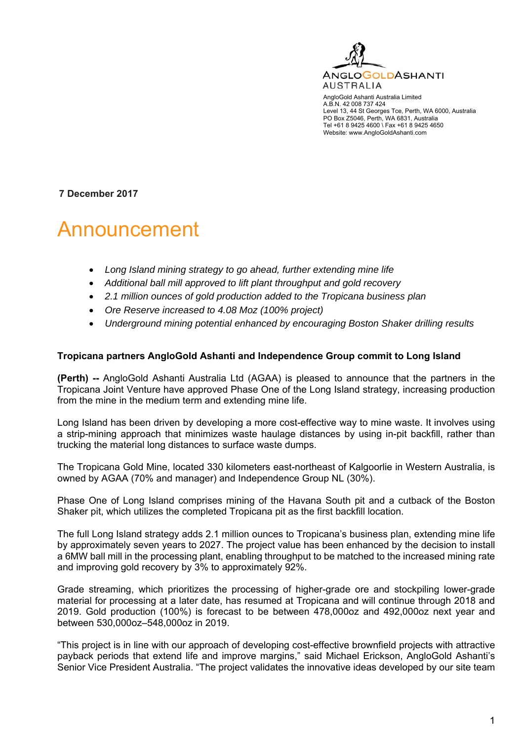

AngloGold Ashanti Australia Limited A.B.N. 42 008 737 424 Level 13, 44 St Georges Tce, Perth, WA 6000, Australia PO Box Z5046, Perth, WA 6831, Australia Tel +61 8 9425 4600 \ Fax +61 8 9425 4650 Website: www.AngloGoldAshanti.com

**7 December 2017** 

# Announcement

- *Long Island mining strategy to go ahead, further extending mine life*
- *Additional ball mill approved to lift plant throughput and gold recovery*
- *2.1 million ounces of gold production added to the Tropicana business plan*
- *Ore Reserve increased to 4.08 Moz (100% project)*
- *Underground mining potential enhanced by encouraging Boston Shaker drilling results*

#### **Tropicana partners AngloGold Ashanti and Independence Group commit to Long Island**

**(Perth) --** AngloGold Ashanti Australia Ltd (AGAA) is pleased to announce that the partners in the Tropicana Joint Venture have approved Phase One of the Long Island strategy, increasing production from the mine in the medium term and extending mine life.

Long Island has been driven by developing a more cost-effective way to mine waste. It involves using a strip-mining approach that minimizes waste haulage distances by using in-pit backfill, rather than trucking the material long distances to surface waste dumps.

The Tropicana Gold Mine, located 330 kilometers east-northeast of Kalgoorlie in Western Australia, is owned by AGAA (70% and manager) and Independence Group NL (30%).

Phase One of Long Island comprises mining of the Havana South pit and a cutback of the Boston Shaker pit, which utilizes the completed Tropicana pit as the first backfill location.

The full Long Island strategy adds 2.1 million ounces to Tropicana's business plan, extending mine life by approximately seven years to 2027. The project value has been enhanced by the decision to install a 6MW ball mill in the processing plant, enabling throughput to be matched to the increased mining rate and improving gold recovery by 3% to approximately 92%.

Grade streaming, which prioritizes the processing of higher-grade ore and stockpiling lower-grade material for processing at a later date, has resumed at Tropicana and will continue through 2018 and 2019. Gold production (100%) is forecast to be between 478,000oz and 492,000oz next year and between 530,000oz–548,000oz in 2019.

"This project is in line with our approach of developing cost-effective brownfield projects with attractive payback periods that extend life and improve margins," said Michael Erickson, AngloGold Ashanti's Senior Vice President Australia. "The project validates the innovative ideas developed by our site team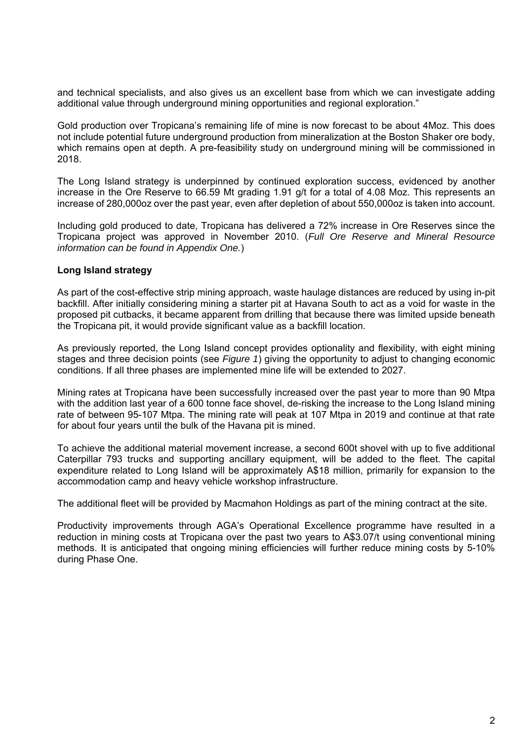and technical specialists, and also gives us an excellent base from which we can investigate adding additional value through underground mining opportunities and regional exploration."

Gold production over Tropicana's remaining life of mine is now forecast to be about 4Moz. This does not include potential future underground production from mineralization at the Boston Shaker ore body, which remains open at depth. A pre-feasibility study on underground mining will be commissioned in 2018.

The Long Island strategy is underpinned by continued exploration success, evidenced by another increase in the Ore Reserve to 66.59 Mt grading 1.91 g/t for a total of 4.08 Moz. This represents an increase of 280,000oz over the past year, even after depletion of about 550,000oz is taken into account.

Including gold produced to date, Tropicana has delivered a 72% increase in Ore Reserves since the Tropicana project was approved in November 2010. (*Full Ore Reserve and Mineral Resource information can be found in Appendix One.*)

#### **Long Island strategy**

As part of the cost-effective strip mining approach, waste haulage distances are reduced by using in-pit backfill. After initially considering mining a starter pit at Havana South to act as a void for waste in the proposed pit cutbacks, it became apparent from drilling that because there was limited upside beneath the Tropicana pit, it would provide significant value as a backfill location.

As previously reported, the Long Island concept provides optionality and flexibility, with eight mining stages and three decision points (see *Figure 1*) giving the opportunity to adjust to changing economic conditions. If all three phases are implemented mine life will be extended to 2027.

Mining rates at Tropicana have been successfully increased over the past year to more than 90 Mtpa with the addition last year of a 600 tonne face shovel, de-risking the increase to the Long Island mining rate of between 95-107 Mtpa. The mining rate will peak at 107 Mtpa in 2019 and continue at that rate for about four years until the bulk of the Havana pit is mined.

To achieve the additional material movement increase, a second 600t shovel with up to five additional Caterpillar 793 trucks and supporting ancillary equipment, will be added to the fleet. The capital expenditure related to Long Island will be approximately A\$18 million, primarily for expansion to the accommodation camp and heavy vehicle workshop infrastructure.

The additional fleet will be provided by Macmahon Holdings as part of the mining contract at the site.

Productivity improvements through AGA's Operational Excellence programme have resulted in a reduction in mining costs at Tropicana over the past two years to A\$3.07/t using conventional mining methods. It is anticipated that ongoing mining efficiencies will further reduce mining costs by 5-10% during Phase One.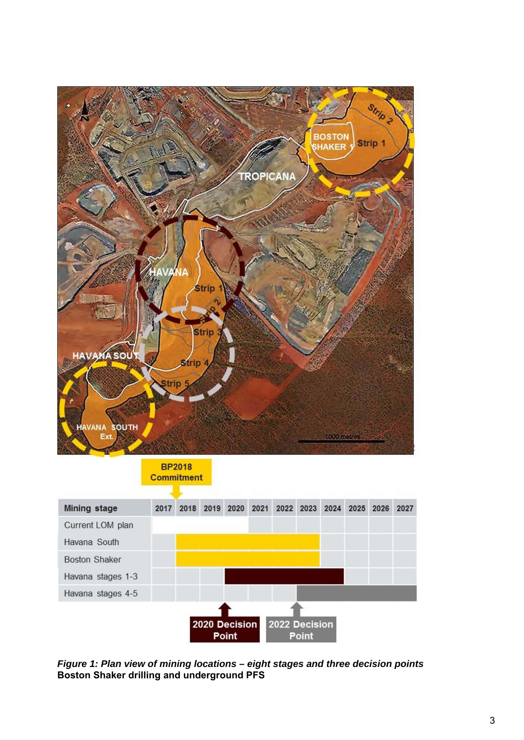

**BP2018 Commitment** 



*Figure 1: Plan view of mining locations – eight stages and three decision points*  **Boston Shaker drilling and underground PFS**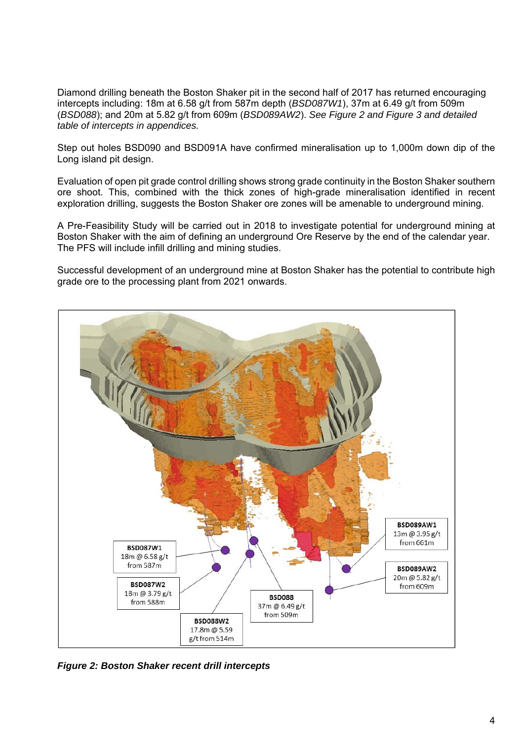Diamond drilling beneath the Boston Shaker pit in the second half of 2017 has returned encouraging intercepts including: 18m at 6.58 g/t from 587m depth (*BSD087W1*), 37m at 6.49 g/t from 509m (*BSD088*); and 20m at 5.82 g/t from 609m (*BSD089AW2*). *See Figure 2 and Figure 3 and detailed table of intercepts in appendices.* 

Step out holes BSD090 and BSD091A have confirmed mineralisation up to 1,000m down dip of the Long island pit design.

Evaluation of open pit grade control drilling shows strong grade continuity in the Boston Shaker southern ore shoot. This, combined with the thick zones of high-grade mineralisation identified in recent exploration drilling, suggests the Boston Shaker ore zones will be amenable to underground mining.

A Pre-Feasibility Study will be carried out in 2018 to investigate potential for underground mining at Boston Shaker with the aim of defining an underground Ore Reserve by the end of the calendar year. The PFS will include infill drilling and mining studies.

Successful development of an underground mine at Boston Shaker has the potential to contribute high grade ore to the processing plant from 2021 onwards.



*Figure 2: Boston Shaker recent drill intercepts*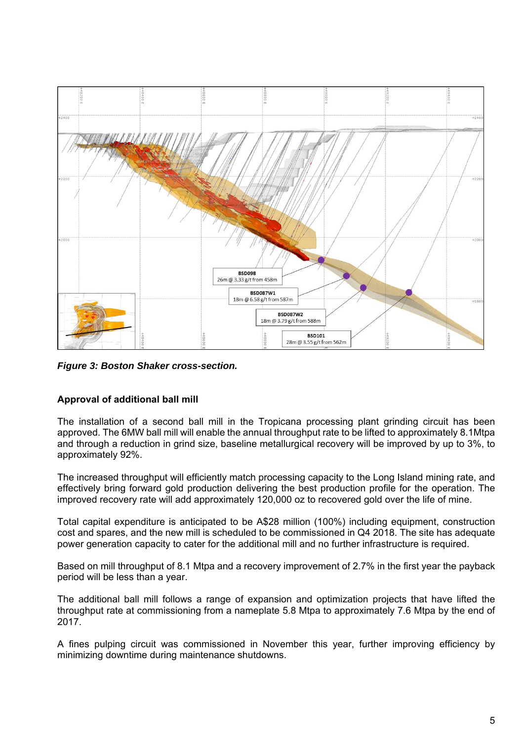

*Figure 3: Boston Shaker cross-section.* 

## **Approval of additional ball mill**

The installation of a second ball mill in the Tropicana processing plant grinding circuit has been approved. The 6MW ball mill will enable the annual throughput rate to be lifted to approximately 8.1Mtpa and through a reduction in grind size, baseline metallurgical recovery will be improved by up to 3%, to approximately 92%.

The increased throughput will efficiently match processing capacity to the Long Island mining rate, and effectively bring forward gold production delivering the best production profile for the operation. The improved recovery rate will add approximately 120,000 oz to recovered gold over the life of mine.

Total capital expenditure is anticipated to be A\$28 million (100%) including equipment, construction cost and spares, and the new mill is scheduled to be commissioned in Q4 2018. The site has adequate power generation capacity to cater for the additional mill and no further infrastructure is required.

Based on mill throughput of 8.1 Mtpa and a recovery improvement of 2.7% in the first year the payback period will be less than a year.

The additional ball mill follows a range of expansion and optimization projects that have lifted the throughput rate at commissioning from a nameplate 5.8 Mtpa to approximately 7.6 Mtpa by the end of 2017.

A fines pulping circuit was commissioned in November this year, further improving efficiency by minimizing downtime during maintenance shutdowns.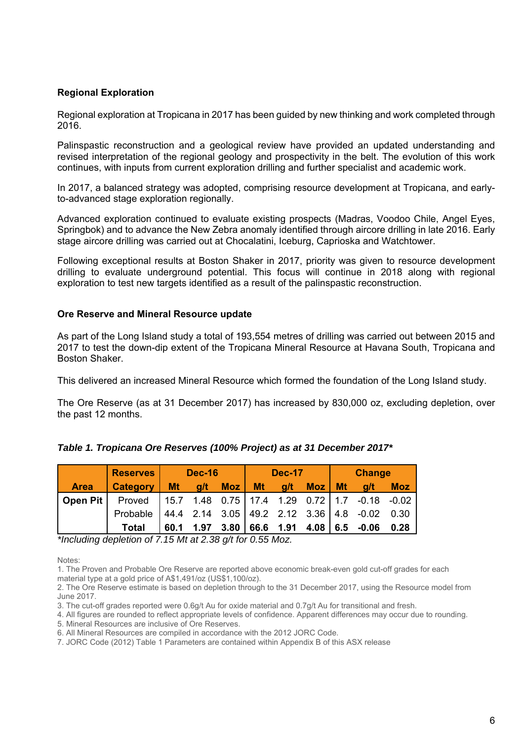### **Regional Exploration**

Regional exploration at Tropicana in 2017 has been guided by new thinking and work completed through 2016.

Palinspastic reconstruction and a geological review have provided an updated understanding and revised interpretation of the regional geology and prospectivity in the belt. The evolution of this work continues, with inputs from current exploration drilling and further specialist and academic work.

In 2017, a balanced strategy was adopted, comprising resource development at Tropicana, and earlyto-advanced stage exploration regionally.

Advanced exploration continued to evaluate existing prospects (Madras, Voodoo Chile, Angel Eyes, Springbok) and to advance the New Zebra anomaly identified through aircore drilling in late 2016. Early stage aircore drilling was carried out at Chocalatini, Iceburg, Caprioska and Watchtower.

Following exceptional results at Boston Shaker in 2017, priority was given to resource development drilling to evaluate underground potential. This focus will continue in 2018 along with regional exploration to test new targets identified as a result of the palinspastic reconstruction.

#### **Ore Reserve and Mineral Resource update**

As part of the Long Island study a total of 193,554 metres of drilling was carried out between 2015 and 2017 to test the down-dip extent of the Tropicana Mineral Resource at Havana South, Tropicana and Boston Shaker.

This delivered an increased Mineral Resource which formed the foundation of the Long Island study.

The Ore Reserve (as at 31 December 2017) has increased by 830,000 oz, excluding depletion, over the past 12 months.

|             | <b>Reserves</b> | <b>Dec-16</b> |      |      |           | <b>Dec-17</b> |     |           | <b>Change</b>                                                             |            |  |  |
|-------------|-----------------|---------------|------|------|-----------|---------------|-----|-----------|---------------------------------------------------------------------------|------------|--|--|
| <b>Area</b> | <b>Category</b> | <b>Mt</b>     | q/t  | Moz  | <b>Mt</b> | g/t           | Moz | <b>Mt</b> | q/t                                                                       | <b>Moz</b> |  |  |
| Open Pit    | Proved          |               |      |      |           |               |     |           | 15.7    1.48    0.75      17.4    1.29    0.72      1.7    -0.18    -0.02 |            |  |  |
|             | Probable        |               |      |      |           |               |     |           | $ 44.4 \t2.14 \t3.05 \t49.2 \t2.12 \t3.36 \t4.8 \t-0.02$                  | 0.30       |  |  |
|             | <b>Total</b>    | 60.1          | 1.97 | 3.80 |           |               |     |           | 66.6 1.91 4.08 6.5 -0.06                                                  | 0.28       |  |  |

|  | Table 1. Tropicana Ore Reserves (100% Project) as at 31 December 2017* |  |  |
|--|------------------------------------------------------------------------|--|--|
|  |                                                                        |  |  |

*\*Including depletion of 7.15 Mt at 2.38 g/t for 0.55 Moz.* 

Notes:

1. The Proven and Probable Ore Reserve are reported above economic break-even gold cut-off grades for each material type at a gold price of A\$1,491/oz (US\$1,100/oz).

2. The Ore Reserve estimate is based on depletion through to the 31 December 2017, using the Resource model from June 2017.

3. The cut-off grades reported were 0.6g/t Au for oxide material and 0.7g/t Au for transitional and fresh.

4. All figures are rounded to reflect appropriate levels of confidence. Apparent differences may occur due to rounding.

5. Mineral Resources are inclusive of Ore Reserves.

6. All Mineral Resources are compiled in accordance with the 2012 JORC Code.

7. JORC Code (2012) Table 1 Parameters are contained within Appendix B of this ASX release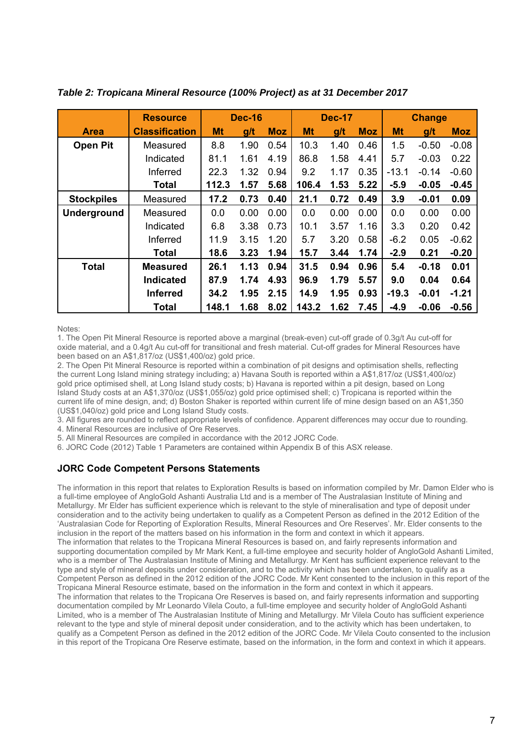|                    | <b>Resource</b>       | <b>Dec-16</b> |      |            | <b>Dec-17</b> |      |            | <b>Change</b> |         |            |  |
|--------------------|-----------------------|---------------|------|------------|---------------|------|------------|---------------|---------|------------|--|
| <b>Area</b>        | <b>Classification</b> | <b>Mt</b>     | g/t  | <b>Moz</b> | <b>Mt</b>     | g/t  | <b>Moz</b> | Mt            | g/t     | <b>Moz</b> |  |
| <b>Open Pit</b>    | Measured              | 8.8           | 1.90 | 0.54       | 10.3          | 1.40 | 0.46       | 1.5           | $-0.50$ | $-0.08$    |  |
|                    | Indicated             | 81.1          | 1.61 | 4.19       | 86.8          | 1.58 | 4.41       | 5.7           | $-0.03$ | 0.22       |  |
|                    | Inferred              | 22.3          | 1.32 | 0.94       | 9.2           | 1.17 | 0.35       | $-13.1$       | $-0.14$ | $-0.60$    |  |
|                    | <b>Total</b>          | 112.3         | 1.57 | 5.68       | 106.4         | 1.53 | 5.22       | $-5.9$        | $-0.05$ | $-0.45$    |  |
| <b>Stockpiles</b>  | Measured              | 17.2          | 0.73 | 0.40       | 21.1          | 0.72 | 0.49       | 3.9           | $-0.01$ | 0.09       |  |
| <b>Underground</b> | Measured              | 0.0           | 0.00 | 0.00       | 0.0           | 0.00 | 0.00       | 0.0           | 0.00    | 0.00       |  |
|                    | Indicated             | 6.8           | 3.38 | 0.73       | 10.1          | 3.57 | 1.16       | 3.3           | 0.20    | 0.42       |  |
|                    | Inferred              | 11.9          | 3.15 | 1.20       | 5.7           | 3.20 | 0.58       | $-6.2$        | 0.05    | $-0.62$    |  |
|                    | Total                 | 18.6          | 3.23 | 1.94       | 15.7          | 3.44 | 1.74       | $-2.9$        | 0.21    | $-0.20$    |  |
| <b>Total</b>       | <b>Measured</b>       | 26.1          | 1.13 | 0.94       | 31.5          | 0.94 | 0.96       | 5.4           | $-0.18$ | 0.01       |  |
|                    | <b>Indicated</b>      | 87.9          | 1.74 | 4.93       | 96.9          | 1.79 | 5.57       | 9.0           | 0.04    | 0.64       |  |
|                    | <b>Inferred</b>       | 34.2          | 1.95 | 2.15       | 14.9          | 1.95 | 0.93       | $-19.3$       | $-0.01$ | $-1.21$    |  |
|                    | <b>Total</b>          | 148.1         | 1.68 | 8.02       | 143.2         | 1.62 | 7.45       | $-4.9$        | $-0.06$ | $-0.56$    |  |

*Table 2: Tropicana Mineral Resource (100% Project) as at 31 December 2017* 

Notes:

1. The Open Pit Mineral Resource is reported above a marginal (break-even) cut-off grade of 0.3g/t Au cut-off for oxide material, and a 0.4g/t Au cut-off for transitional and fresh material. Cut-off grades for Mineral Resources have been based on an A\$1,817/oz (US\$1,400/oz) gold price.

2. The Open Pit Mineral Resource is reported within a combination of pit designs and optimisation shells, reflecting the current Long Island mining strategy including; a) Havana South is reported within a A\$1,817/oz (US\$1,400/oz) gold price optimised shell, at Long Island study costs; b) Havana is reported within a pit design, based on Long Island Study costs at an A\$1,370/oz (US\$1,055/oz) gold price optimised shell; c) Tropicana is reported within the current life of mine design, and; d) Boston Shaker is reported within current life of mine design based on an A\$1,350 (US\$1,040/oz) gold price and Long Island Study costs.

3. All figures are rounded to reflect appropriate levels of confidence. Apparent differences may occur due to rounding.

4. Mineral Resources are inclusive of Ore Reserves.

5. All Mineral Resources are compiled in accordance with the 2012 JORC Code.

6. JORC Code (2012) Table 1 Parameters are contained within Appendix B of this ASX release.

## **JORC Code Competent Persons Statements**

The information in this report that relates to Exploration Results is based on information compiled by Mr. Damon Elder who is a full-time employee of AngloGold Ashanti Australia Ltd and is a member of The Australasian Institute of Mining and Metallurgy. Mr Elder has sufficient experience which is relevant to the style of mineralisation and type of deposit under consideration and to the activity being undertaken to qualify as a Competent Person as defined in the 2012 Edition of the 'Australasian Code for Reporting of Exploration Results, Mineral Resources and Ore Reserves'. Mr. Elder consents to the inclusion in the report of the matters based on his information in the form and context in which it appears. The information that relates to the Tropicana Mineral Resources is based on, and fairly represents information and supporting documentation compiled by Mr Mark Kent, a full-time employee and security holder of AngloGold Ashanti Limited, who is a member of The Australasian Institute of Mining and Metallurgy. Mr Kent has sufficient experience relevant to the type and style of mineral deposits under consideration, and to the activity which has been undertaken, to qualify as a Competent Person as defined in the 2012 edition of the JORC Code. Mr Kent consented to the inclusion in this report of the Tropicana Mineral Resource estimate, based on the information in the form and context in which it appears. The information that relates to the Tropicana Ore Reserves is based on, and fairly represents information and supporting documentation compiled by Mr Leonardo Vilela Couto, a full-time employee and security holder of AngloGold Ashanti Limited, who is a member of The Australasian Institute of Mining and Metallurgy. Mr Vilela Couto has sufficient experience relevant to the type and style of mineral deposit under consideration, and to the activity which has been undertaken, to qualify as a Competent Person as defined in the 2012 edition of the JORC Code. Mr Vilela Couto consented to the inclusion in this report of the Tropicana Ore Reserve estimate, based on the information, in the form and context in which it appears.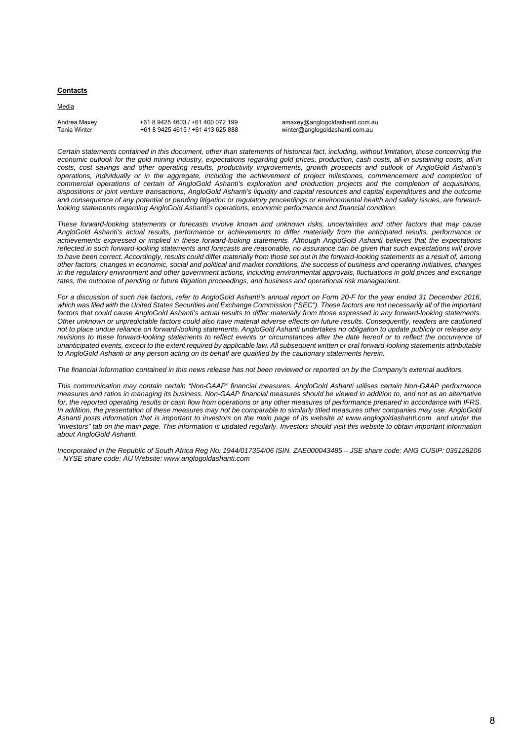#### **Contacts**

Media

Andrea Maxey +61 8 9425 4603 / +61 400 072 199 amaxey@anglogoldashanti.com.au<br>Tanja Winter +61 8 9425 4615 / +61 413 625 888 and ther@anglogoldashanti.com.au

winter@anglogoldashanti.com.au

*Certain statements contained in this document, other than statements of historical fact, including, without limitation, those concerning the economic outlook for the gold mining industry, expectations regarding gold prices, production, cash costs, all-in sustaining costs, all-in costs, cost savings and other operating results, productivity improvements, growth prospects and outlook of AngloGold Ashanti's operations, individually or in the aggregate, including the achievement of project milestones, commencement and completion of commercial operations of certain of AngloGold Ashanti's exploration and production projects and the completion of acquisitions, dispositions or joint venture transactions, AngloGold Ashanti's liquidity and capital resources and capital expenditures and the outcome and consequence of any potential or pending litigation or regulatory proceedings or environmental health and safety issues, are forwardlooking statements regarding AngloGold Ashanti's operations, economic performance and financial condition.* 

*These forward-looking statements or forecasts involve known and unknown risks, uncertainties and other factors that may cause AngloGold Ashanti's actual results, performance or achievements to differ materially from the anticipated results, performance or achievements expressed or implied in these forward-looking statements. Although AngloGold Ashanti believes that the expectations reflected in such forward-looking statements and forecasts are reasonable, no assurance can be given that such expectations will prove*  to have been correct. Accordingly, results could differ materially from those set out in the forward-looking statements as a result of, among *other factors, changes in economic, social and political and market conditions, the success of business and operating initiatives, changes*  in the regulatory environment and other government actions, including environmental approvals, fluctuations in gold prices and exchange rates, the outcome of pending or future litigation proceedings, and business and operational risk management.

*For a discussion of such risk factors, refer to AngloGold Ashanti's annual report on Form 20-F for the year ended 31 December 2016, which was filed with the United States Securities and Exchange Commission ("SEC"). These factors are not necessarily all of the important*  factors that could cause AngloGold Ashanti's actual results to differ materially from those expressed in any forward-looking statements. *Other unknown or unpredictable factors could also have material adverse effects on future results. Consequently, readers are cautioned not to place undue reliance on forward-looking statements. AngloGold Ashanti undertakes no obligation to update publicly or release any*  revisions to these forward-looking statements to reflect events or circumstances after the date hereof or to reflect the occurrence of *unanticipated events, except to the extent required by applicable law. All subsequent written or oral forward-looking statements attributable to AngloGold Ashanti or any person acting on its behalf are qualified by the cautionary statements herein.* 

*The financial information contained in this news release has not been reviewed or reported on by the Company's external auditors.* 

*This communication may contain certain "Non-GAAP" financial measures. AngloGold Ashanti utilises certain Non-GAAP performance measures and ratios in managing its business. Non-GAAP financial measures should be viewed in addition to, and not as an alternative for, the reported operating results or cash flow from operations or any other measures of performance prepared in accordance with IFRS. In addition, the presentation of these measures may not be comparable to similarly titled measures other companies may use. AngloGold Ashanti posts information that is important to investors on the main page of its website at www.anglogoldashanti.com and under the "Investors" tab on the main page. This information is updated regularly. Investors should visit this website to obtain important information about AngloGold Ashanti.* 

*Incorporated in the Republic of South Africa Reg No: 1944/017354/06 ISIN. ZAE000043485 – JSE share code: ANG CUSIP: 035128206 – NYSE share code: AU Website: www.anglogoldashanti.com*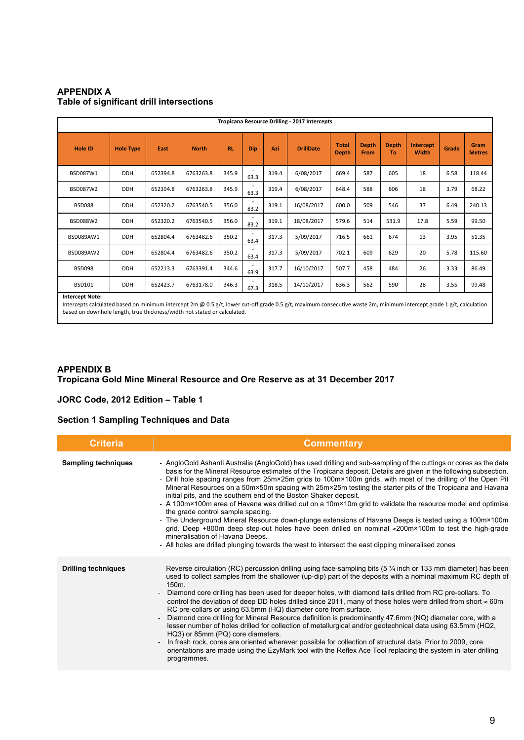#### **APPENDIX A Table of significant drill intersections**

|                 | Tropicana Resource Drilling - 2017 Intercepts |          |              |       |                                  |       |                  |                              |                      |                    |                    |       |                       |
|-----------------|-----------------------------------------------|----------|--------------|-------|----------------------------------|-------|------------------|------------------------------|----------------------|--------------------|--------------------|-------|-----------------------|
| <b>Hole ID</b>  | <b>Hole Type</b>                              | East     | <b>North</b> | RL    | <b>Dip</b>                       | Azi   | <b>DrillDate</b> | <b>Total</b><br><b>Depth</b> | <b>Depth</b><br>From | <b>Depth</b><br>To | Intercept<br>Width | Grade | Gram<br><b>Metres</b> |
| BSD087W1        | <b>DDH</b>                                    | 652394.8 | 6763263.8    | 345.9 | $\overline{\phantom{a}}$<br>63.3 | 319.4 | 6/08/2017        | 669.4                        | 587                  | 605                | 18                 | 6.58  | 118.44                |
| <b>BSD087W2</b> | <b>DDH</b>                                    | 652394.8 | 6763263.8    | 345.9 | 63.3                             | 319.4 | 6/08/2017        | 648.4                        | 588                  | 606                | 18                 | 3.79  | 68.22                 |
| <b>BSD088</b>   | <b>DDH</b>                                    | 652320.2 | 6763540.5    | 356.0 | 83.2                             | 319.1 | 16/08/2017       | 600.0                        | 509                  | 546                | 37                 | 6.49  | 240.13                |
| BSD088W2        | <b>DDH</b>                                    | 652320.2 | 6763540.5    | 356.0 | 83.2                             | 319.1 | 18/08/2017       | 579.6                        | 514                  | 531.9              | 17.8               | 5.59  | 99.50                 |
| BSD089AW1       | <b>DDH</b>                                    | 652804.4 | 6763482.6    | 350.2 | 63.4                             | 317.3 | 5/09/2017        | 716.5                        | 661                  | 674                | 13                 | 3.95  | 51.35                 |
| BSD089AW2       | <b>DDH</b>                                    | 652804.4 | 6763482.6    | 350.2 | 63.4                             | 317.3 | 5/09/2017        | 702.1                        | 609                  | 629                | 20                 | 5.78  | 115.60                |
| <b>BSD098</b>   | <b>DDH</b>                                    | 652213.3 | 6763391.4    | 344.6 | 63.9                             | 317.7 | 16/10/2017       | 507.7                        | 458                  | 484                | 26                 | 3.33  | 86.49                 |
| <b>BSD101</b>   | <b>DDH</b>                                    | 652423.7 | 6763178.0    | 346.3 | 67.3                             | 318.5 | 14/10/2017       | 636.3                        | 562                  | 590                | 28                 | 3.55  | 99.48                 |

**Intercept Note:**

Intercepts calculated based on minimum intercept 2m @ 0.5 g/t, lower cut-off grade 0.5 g/t, maximum consecutive waste 2m, minimum intercept grade 1 g/t, calculation based on downhole length, true thickness/width not stated or calculated.

#### **APPENDIX B**

#### **Tropicana Gold Mine Mineral Resource and Ore Reserve as at 31 December 2017**

#### **JORC Code, 2012 Edition – Table 1**

#### **Section 1 Sampling Techniques and Data**

| <b>Criteria</b>            | <b>Commentary</b>                                                                                                                                                                                                                                                                                                                                                                                                                                                                                                                                                                                                                                                                                                                                                                                                                                                                                                                                                                                                                                                  |
|----------------------------|--------------------------------------------------------------------------------------------------------------------------------------------------------------------------------------------------------------------------------------------------------------------------------------------------------------------------------------------------------------------------------------------------------------------------------------------------------------------------------------------------------------------------------------------------------------------------------------------------------------------------------------------------------------------------------------------------------------------------------------------------------------------------------------------------------------------------------------------------------------------------------------------------------------------------------------------------------------------------------------------------------------------------------------------------------------------|
| <b>Sampling techniques</b> | - AngloGold Ashanti Australia (AngloGold) has used drilling and sub-sampling of the cuttings or cores as the data<br>basis for the Mineral Resource estimates of the Tropicana deposit. Details are given in the following subsection.<br>- Drill hole spacing ranges from 25m×25m grids to 100m×100m grids, with most of the drilling of the Open Pit<br>Mineral Resources on a 50m×50m spacing with 25m×25m testing the starter pits of the Tropicana and Havana<br>initial pits, and the southern end of the Boston Shaker deposit.<br>- A 100m×100m area of Havana was drilled out on a 10m×10m grid to validate the resource model and optimise<br>the grade control sample spacing.<br>- The Underground Mineral Resource down-plunge extensions of Havana Deeps is tested using a 100m×100m<br>grid. Deep +800m deep step-out holes have been drilled on nominal ≈200m×100m to test the high-grade<br>mineralisation of Havana Deeps.<br>- All holes are drilled plunging towards the west to intersect the east dipping mineralised zones                  |
| <b>Drilling techniques</b> | Reverse circulation (RC) percussion drilling using face-sampling bits $(5\frac{1}{4})$ inch or 133 mm diameter) has been<br>used to collect samples from the shallower (up-dip) part of the deposits with a nominal maximum RC depth of<br>150m<br>Diamond core drilling has been used for deeper holes, with diamond tails drilled from RC pre-collars. To<br>control the deviation of deep DD holes drilled since 2011, many of these holes were drilled from short $\approx$ 60m<br>RC pre-collars or using 63.5mm (HQ) diameter core from surface.<br>Diamond core drilling for Mineral Resource definition is predominantly 47.6mm (NQ) diameter core, with a<br>lesser number of holes drilled for collection of metallurgical and/or geotechnical data using 63.5mm (HQ2,<br>HQ3) or 85mm (PQ) core diameters.<br>In fresh rock, cores are oriented wherever possible for collection of structural data. Prior to 2009, core<br>orientations are made using the EzyMark tool with the Reflex Ace Tool replacing the system in later drilling<br>programmes. |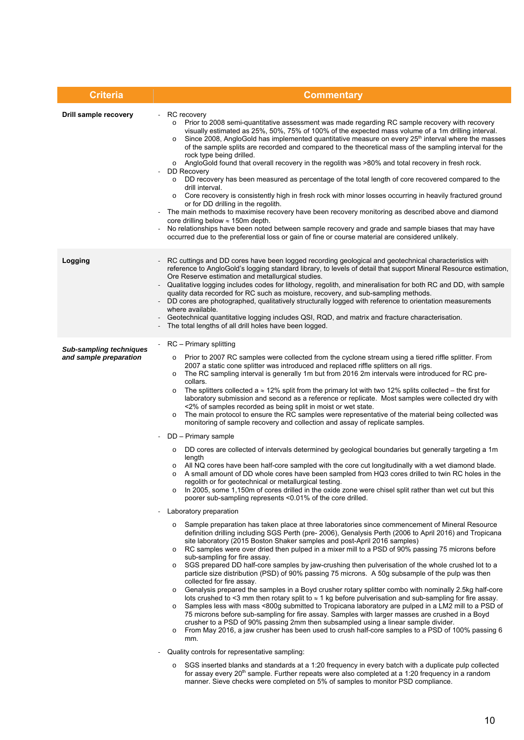| <b>Criteria</b>                                          | <b>Commentary</b>                                                                                                                                                                                                                                                                                                                                                                                                                                                                                                                                                                                                                                                                                                                                                                                                                                                                                                                                                                                                                                                                                                                                                                                                                                                                                                                                                                                                                                                                                                                                                                                                                                                                                                                                                                                                                                                                                                                                                                                                                                                                                                                                                                                                                                                                                                                                                                                                                                                                                                                                                                                                                                                                                                                                                                                                                                                                                                                                                                                                                                                                                                                                                                                                                              |
|----------------------------------------------------------|------------------------------------------------------------------------------------------------------------------------------------------------------------------------------------------------------------------------------------------------------------------------------------------------------------------------------------------------------------------------------------------------------------------------------------------------------------------------------------------------------------------------------------------------------------------------------------------------------------------------------------------------------------------------------------------------------------------------------------------------------------------------------------------------------------------------------------------------------------------------------------------------------------------------------------------------------------------------------------------------------------------------------------------------------------------------------------------------------------------------------------------------------------------------------------------------------------------------------------------------------------------------------------------------------------------------------------------------------------------------------------------------------------------------------------------------------------------------------------------------------------------------------------------------------------------------------------------------------------------------------------------------------------------------------------------------------------------------------------------------------------------------------------------------------------------------------------------------------------------------------------------------------------------------------------------------------------------------------------------------------------------------------------------------------------------------------------------------------------------------------------------------------------------------------------------------------------------------------------------------------------------------------------------------------------------------------------------------------------------------------------------------------------------------------------------------------------------------------------------------------------------------------------------------------------------------------------------------------------------------------------------------------------------------------------------------------------------------------------------------------------------------------------------------------------------------------------------------------------------------------------------------------------------------------------------------------------------------------------------------------------------------------------------------------------------------------------------------------------------------------------------------------------------------------------------------------------------------------------------------|
| Drill sample recovery                                    | RC recovery<br>Prior to 2008 semi-quantitative assessment was made regarding RC sample recovery with recovery<br>$\circ$<br>visually estimated as 25%, 50%, 75% of 100% of the expected mass volume of a 1m drilling interval.<br>Since 2008, AngloGold has implemented quantitative measure on every 25 <sup>th</sup> interval where the masses<br>$\circ$<br>of the sample splits are recorded and compared to the theoretical mass of the sampling interval for the<br>rock type being drilled.<br>AngloGold found that overall recovery in the regolith was >80% and total recovery in fresh rock.<br>$\circ$<br><b>DD Recovery</b><br>o DD recovery has been measured as percentage of the total length of core recovered compared to the<br>drill interval.<br>Core recovery is consistently high in fresh rock with minor losses occurring in heavily fractured ground<br>$\circ$<br>or for DD drilling in the regolith.<br>The main methods to maximise recovery have been recovery monitoring as described above and diamond<br>core drilling below $\approx$ 150m depth.<br>No relationships have been noted between sample recovery and grade and sample biases that may have<br>occurred due to the preferential loss or gain of fine or course material are considered unlikely.                                                                                                                                                                                                                                                                                                                                                                                                                                                                                                                                                                                                                                                                                                                                                                                                                                                                                                                                                                                                                                                                                                                                                                                                                                                                                                                                                                                                                                                                                                                                                                                                                                                                                                                                                                                                                                                                                                                                                  |
| Logging                                                  | RC cuttings and DD cores have been logged recording geological and geotechnical characteristics with<br>reference to AngloGold's logging standard library, to levels of detail that support Mineral Resource estimation,<br>Ore Reserve estimation and metallurgical studies.<br>Qualitative logging includes codes for lithology, regolith, and mineralisation for both RC and DD, with sample<br>quality data recorded for RC such as moisture, recovery, and sub-sampling methods.<br>- DD cores are photographed, qualitatively structurally logged with reference to orientation measurements<br>where available.<br>Geotechnical quantitative logging includes QSI, RQD, and matrix and fracture characterisation.<br>The total lengths of all drill holes have been logged.                                                                                                                                                                                                                                                                                                                                                                                                                                                                                                                                                                                                                                                                                                                                                                                                                                                                                                                                                                                                                                                                                                                                                                                                                                                                                                                                                                                                                                                                                                                                                                                                                                                                                                                                                                                                                                                                                                                                                                                                                                                                                                                                                                                                                                                                                                                                                                                                                                                             |
| <b>Sub-sampling techniques</b><br>and sample preparation | RC - Primary splitting<br>$\blacksquare$<br>Prior to 2007 RC samples were collected from the cyclone stream using a tiered riffle splitter. From<br>$\circ$<br>2007 a static cone splitter was introduced and replaced riffle splitters on all rigs.<br>The RC sampling interval is generally 1m but from 2016 2m intervals were introduced for RC pre-<br>$\circ$<br>collars.<br>The splitters collected a $\approx$ 12% split from the primary lot with two 12% splits collected – the first for<br>$\circ$<br>laboratory submission and second as a reference or replicate. Most samples were collected dry with<br><2% of samples recorded as being split in moist or wet state.<br>The main protocol to ensure the RC samples were representative of the material being collected was<br>$\circ$<br>monitoring of sample recovery and collection and assay of replicate samples.<br>DD – Primary sample<br>DD cores are collected of intervals determined by geological boundaries but generally targeting a 1m<br>$\circ$<br>length<br>All NQ cores have been half-core sampled with the core cut longitudinally with a wet diamond blade.<br>O<br>A small amount of DD whole cores have been sampled from HQ3 cores drilled to twin RC holes in the<br>$\circ$<br>regolith or for geotechnical or metallurgical testing.<br>In 2005, some 1,150m of cores drilled in the oxide zone were chisel split rather than wet cut but this<br>$\circ$<br>poorer sub-sampling represents <0.01% of the core drilled.<br>Laboratory preparation<br>$\qquad \qquad \blacksquare$<br>Sample preparation has taken place at three laboratories since commencement of Mineral Resource<br>$\circ$<br>definition drilling including SGS Perth (pre- 2006), Genalysis Perth (2006 to April 2016) and Tropicana<br>site laboratory (2015 Boston Shaker samples and post-April 2016 samples)<br>RC samples were over dried then pulped in a mixer mill to a PSD of 90% passing 75 microns before<br>$\circ$<br>sub-sampling for fire assay.<br>SGS prepared DD half-core samples by jaw-crushing then pulverisation of the whole crushed lot to a<br>$\circ$<br>particle size distribution (PSD) of 90% passing 75 microns. A 50g subsample of the pulp was then<br>collected for fire assay.<br>Genalysis prepared the samples in a Boyd crusher rotary splitter combo with nominally 2.5kg half-core<br>$\circ$<br>lots crushed to <3 mm then rotary split to $\approx$ 1 kg before pulverisation and sub-sampling for fire assay.<br>Samples less with mass <800g submitted to Tropicana laboratory are pulped in a LM2 mill to a PSD of<br>$\circ$<br>75 microns before sub-sampling for fire assay. Samples with larger masses are crushed in a Boyd<br>crusher to a PSD of 90% passing 2mm then subsampled using a linear sample divider.<br>From May 2016, a jaw crusher has been used to crush half-core samples to a PSD of 100% passing 6<br>$\circ$<br>mm.<br>Quality controls for representative sampling:<br>SGS inserted blanks and standards at a 1:20 frequency in every batch with a duplicate pulp collected<br>$\circ$<br>for assay every 20 <sup>th</sup> sample. Further repeats were also completed at a 1:20 frequency in a random |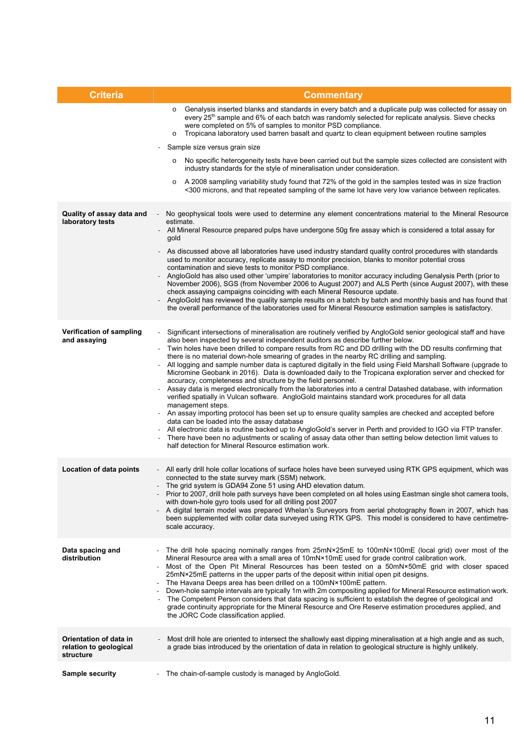| <b>Criteria</b>                                               | <b>Commentary</b>                                                                                                                                                                                                                                                                                                                                                                                                                                                                                                                                                                                                                                                                                                                                                                                                                                                                                                                                                                                                                                                                                                                                                                                                                                                                                                                                                                                    |
|---------------------------------------------------------------|------------------------------------------------------------------------------------------------------------------------------------------------------------------------------------------------------------------------------------------------------------------------------------------------------------------------------------------------------------------------------------------------------------------------------------------------------------------------------------------------------------------------------------------------------------------------------------------------------------------------------------------------------------------------------------------------------------------------------------------------------------------------------------------------------------------------------------------------------------------------------------------------------------------------------------------------------------------------------------------------------------------------------------------------------------------------------------------------------------------------------------------------------------------------------------------------------------------------------------------------------------------------------------------------------------------------------------------------------------------------------------------------------|
|                                                               | Genalysis inserted blanks and standards in every batch and a duplicate pulp was collected for assay on<br>$\circ$<br>every 25 <sup>th</sup> sample and 6% of each batch was randomly selected for replicate analysis. Sieve checks<br>were completed on 5% of samples to monitor PSD compliance.<br>Tropicana laboratory used barren basalt and quartz to clean equipment between routine samples<br>$\circ$                                                                                                                                                                                                                                                                                                                                                                                                                                                                                                                                                                                                                                                                                                                                                                                                                                                                                                                                                                                         |
|                                                               | Sample size versus grain size                                                                                                                                                                                                                                                                                                                                                                                                                                                                                                                                                                                                                                                                                                                                                                                                                                                                                                                                                                                                                                                                                                                                                                                                                                                                                                                                                                        |
|                                                               | No specific heterogeneity tests have been carried out but the sample sizes collected are consistent with<br>$\circ$<br>industry standards for the style of mineralisation under consideration.                                                                                                                                                                                                                                                                                                                                                                                                                                                                                                                                                                                                                                                                                                                                                                                                                                                                                                                                                                                                                                                                                                                                                                                                       |
|                                                               | A 2008 sampling variability study found that 72% of the gold in the samples tested was in size fraction<br>$\circ$<br><300 microns, and that repeated sampling of the same lot have very low variance between replicates.                                                                                                                                                                                                                                                                                                                                                                                                                                                                                                                                                                                                                                                                                                                                                                                                                                                                                                                                                                                                                                                                                                                                                                            |
| Quality of assay data and<br>laboratory tests                 | No geophysical tools were used to determine any element concentrations material to the Mineral Resource<br>estimate.<br>All Mineral Resource prepared pulps have undergone 50g fire assay which is considered a total assay for<br>gold<br>As discussed above all laboratories have used industry standard quality control procedures with standards                                                                                                                                                                                                                                                                                                                                                                                                                                                                                                                                                                                                                                                                                                                                                                                                                                                                                                                                                                                                                                                 |
|                                                               | used to monitor accuracy, replicate assay to monitor precision, blanks to monitor potential cross<br>contamination and sieve tests to monitor PSD compliance.<br>AngloGold has also used other 'umpire' laboratories to monitor accuracy including Genalysis Perth (prior to<br>November 2006), SGS (from November 2006 to August 2007) and ALS Perth (since August 2007), with these<br>check assaying campaigns coinciding with each Mineral Resource update.<br>AngloGold has reviewed the quality sample results on a batch by batch and monthly basis and has found that<br>the overall performance of the laboratories used for Mineral Resource estimation samples is satisfactory.                                                                                                                                                                                                                                                                                                                                                                                                                                                                                                                                                                                                                                                                                                           |
| Verification of sampling<br>and assaying                      | Significant intersections of mineralisation are routinely verified by AngloGold senior geological staff and have<br>also been inspected by several independent auditors as describe further below.<br>Twin holes have been drilled to compare results from RC and DD drilling with the DD results confirming that<br>there is no material down-hole smearing of grades in the nearby RC drilling and sampling.<br>All logging and sample number data is captured digitally in the field using Field Marshall Software (upgrade to<br>Micromine Geobank in 2016). Data is downloaded daily to the Tropicana exploration server and checked for<br>accuracy, completeness and structure by the field personnel.<br>Assay data is merged electronically from the laboratories into a central Datashed database, with information<br>verified spatially in Vulcan software. AngloGold maintains standard work procedures for all data<br>management steps.<br>An assay importing protocol has been set up to ensure quality samples are checked and accepted before<br>data can be loaded into the assay database<br>All electronic data is routine backed up to AngloGold's server in Perth and provided to IGO via FTP transfer.<br>There have been no adjustments or scaling of assay data other than setting below detection limit values to<br>half detection for Mineral Resource estimation work. |
| Location of data points                                       | - All early drill hole collar locations of surface holes have been surveyed using RTK GPS equipment, which was<br>connected to the state survey mark (SSM) network.<br>The grid system is GDA94 Zone 51 using AHD elevation datum.<br>Prior to 2007, drill hole path surveys have been completed on all holes using Eastman single shot camera tools,<br>with down-hole gyro tools used for all drilling post 2007<br>A digital terrain model was prepared Whelan's Surveyors from aerial photography flown in 2007, which has<br>been supplemented with collar data surveyed using RTK GPS. This model is considered to have centimetre-<br>scale accuracy.                                                                                                                                                                                                                                                                                                                                                                                                                                                                                                                                                                                                                                                                                                                                         |
| Data spacing and<br>distribution                              | The drill hole spacing nominally ranges from $25mN \times 25mE$ to 100mN $\times$ 100mE (local grid) over most of the<br>Mineral Resource area with a small area of 10mN×10mE used for grade control calibration work.<br>Most of the Open Pit Mineral Resources has been tested on a 50mN×50mE grid with closer spaced<br>25mN×25mE patterns in the upper parts of the deposit within initial open pit designs.<br>The Havana Deeps area has been drilled on a 100mN×100mE pattern.<br>Down-hole sample intervals are typically 1m with 2m compositing applied for Mineral Resource estimation work.<br>The Competent Person considers that data spacing is sufficient to establish the degree of geological and<br>grade continuity appropriate for the Mineral Resource and Ore Reserve estimation procedures applied, and<br>the JORC Code classification applied.                                                                                                                                                                                                                                                                                                                                                                                                                                                                                                                               |
| Orientation of data in<br>relation to geological<br>structure | Most drill hole are oriented to intersect the shallowly east dipping mineralisation at a high angle and as such,<br>a grade bias introduced by the orientation of data in relation to geological structure is highly unlikely.                                                                                                                                                                                                                                                                                                                                                                                                                                                                                                                                                                                                                                                                                                                                                                                                                                                                                                                                                                                                                                                                                                                                                                       |
| <b>Sample security</b>                                        | The chain-of-sample custody is managed by AngloGold.<br>$\overline{\phantom{a}}$                                                                                                                                                                                                                                                                                                                                                                                                                                                                                                                                                                                                                                                                                                                                                                                                                                                                                                                                                                                                                                                                                                                                                                                                                                                                                                                     |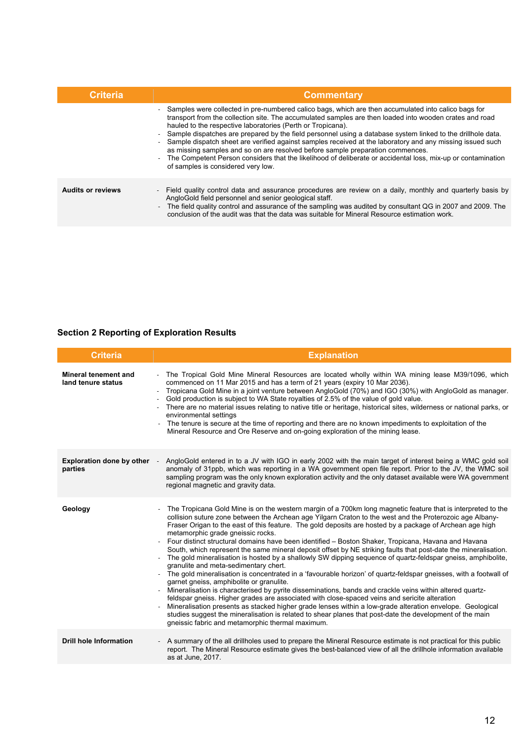| <b>Criteria</b>          | <b>Commentary</b>                                                                                                                                                                                                                                                                                                                                                                                                                                                                                                                                                                                                                                                                                                                                     |
|--------------------------|-------------------------------------------------------------------------------------------------------------------------------------------------------------------------------------------------------------------------------------------------------------------------------------------------------------------------------------------------------------------------------------------------------------------------------------------------------------------------------------------------------------------------------------------------------------------------------------------------------------------------------------------------------------------------------------------------------------------------------------------------------|
|                          | - Samples were collected in pre-numbered calico bags, which are then accumulated into calico bags for<br>transport from the collection site. The accumulated samples are then loaded into wooden crates and road<br>hauled to the respective laboratories (Perth or Tropicana).<br>- Sample dispatches are prepared by the field personnel using a database system linked to the drillhole data.<br>Sample dispatch sheet are verified against samples received at the laboratory and any missing issued such<br>as missing samples and so on are resolved before sample preparation commences.<br>The Competent Person considers that the likelihood of deliberate or accidental loss, mix-up or contamination<br>of samples is considered very low. |
| <b>Audits or reviews</b> | - Field quality control data and assurance procedures are review on a daily, monthly and quarterly basis by<br>AngloGold field personnel and senior geological staff.<br>- The field quality control and assurance of the sampling was audited by consultant QG in 2007 and 2009. The<br>conclusion of the audit was that the data was suitable for Mineral Resource estimation work.                                                                                                                                                                                                                                                                                                                                                                 |

## **Section 2 Reporting of Exploration Results**

| <b>Criteria</b>                                   | <b>Explanation</b>                                                                                                                                                                                                                                                                                                                                                                                                                                                                                                                                                                                                                                                                                                                                                                                                                                                                                                                                                                                                                                                                                                                                                                                                                                                                                                                                                                                                                                  |
|---------------------------------------------------|-----------------------------------------------------------------------------------------------------------------------------------------------------------------------------------------------------------------------------------------------------------------------------------------------------------------------------------------------------------------------------------------------------------------------------------------------------------------------------------------------------------------------------------------------------------------------------------------------------------------------------------------------------------------------------------------------------------------------------------------------------------------------------------------------------------------------------------------------------------------------------------------------------------------------------------------------------------------------------------------------------------------------------------------------------------------------------------------------------------------------------------------------------------------------------------------------------------------------------------------------------------------------------------------------------------------------------------------------------------------------------------------------------------------------------------------------------|
| <b>Mineral tenement and</b><br>land tenure status | The Tropical Gold Mine Mineral Resources are located wholly within WA mining lease M39/1096, which<br>commenced on 11 Mar 2015 and has a term of 21 years (expiry 10 Mar 2036).<br>Tropicana Gold Mine in a joint venture between AngloGold (70%) and IGO (30%) with AngloGold as manager.<br>$\blacksquare$<br>Gold production is subject to WA State royalties of 2.5% of the value of gold value.<br>There are no material issues relating to native title or heritage, historical sites, wilderness or national parks, or<br>environmental settings<br>The tenure is secure at the time of reporting and there are no known impediments to exploitation of the<br>Mineral Resource and Ore Reserve and on-going exploration of the mining lease.                                                                                                                                                                                                                                                                                                                                                                                                                                                                                                                                                                                                                                                                                                |
| <b>Exploration done by other</b><br>parties       | AngloGold entered in to a JV with IGO in early 2002 with the main target of interest being a WMC gold soil<br>$\sim$<br>anomaly of 31ppb, which was reporting in a WA government open file report. Prior to the JV, the WMC soil<br>sampling program was the only known exploration activity and the only dataset available were WA government<br>regional magnetic and gravity data.                                                                                                                                                                                                                                                                                                                                                                                                                                                                                                                                                                                                                                                                                                                                                                                                                                                                                                                                                                                                                                                               |
| Geology                                           | The Tropicana Gold Mine is on the western margin of a 700km long magnetic feature that is interpreted to the<br>$\overline{\phantom{a}}$<br>collision suture zone between the Archean age Yilgarn Craton to the west and the Proterozoic age Albany-<br>Fraser Origan to the east of this feature. The gold deposits are hosted by a package of Archean age high<br>metamorphic grade gneissic rocks.<br>Four distinct structural domains have been identified - Boston Shaker, Tropicana, Havana and Havana<br>South, which represent the same mineral deposit offset by NE striking faults that post-date the mineralisation.<br>The gold mineralisation is hosted by a shallowly SW dipping sequence of quartz-feldspar gneiss, amphibolite,<br>granulite and meta-sedimentary chert.<br>The gold mineralisation is concentrated in a 'favourable horizon' of quartz-feldspar gneisses, with a footwall of<br>garnet gneiss, amphibolite or granulite.<br>Mineralisation is characterised by pyrite disseminations, bands and crackle veins within altered quartz-<br>feldspar gneiss. Higher grades are associated with close-spaced veins and sericite alteration<br>Mineralisation presents as stacked higher grade lenses within a low-grade alteration envelope. Geological<br>studies suggest the mineralisation is related to shear planes that post-date the development of the main<br>gneissic fabric and metamorphic thermal maximum. |
| <b>Drill hole Information</b>                     | A summary of the all drillholes used to prepare the Mineral Resource estimate is not practical for this public<br>report. The Mineral Resource estimate gives the best-balanced view of all the drillhole information available<br>as at June, 2017.                                                                                                                                                                                                                                                                                                                                                                                                                                                                                                                                                                                                                                                                                                                                                                                                                                                                                                                                                                                                                                                                                                                                                                                                |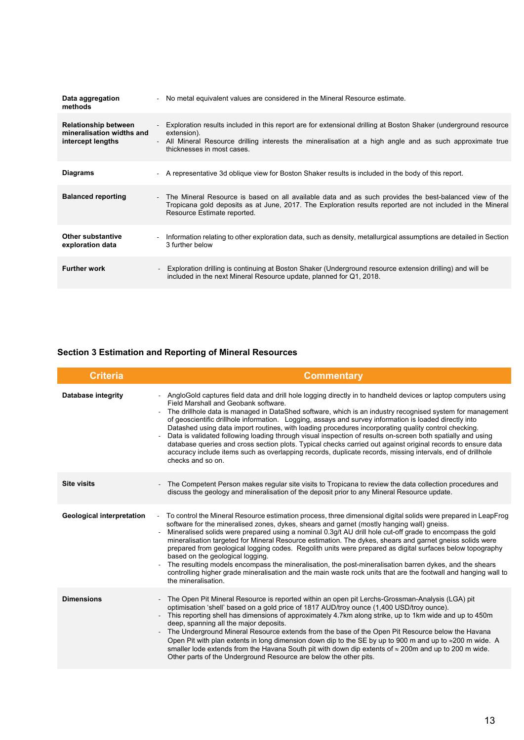| Data aggregation<br>methods                                                   | No metal equivalent values are considered in the Mineral Resource estimate.                                                                                                                                                                                             |
|-------------------------------------------------------------------------------|-------------------------------------------------------------------------------------------------------------------------------------------------------------------------------------------------------------------------------------------------------------------------|
| <b>Relationship between</b><br>mineralisation widths and<br>intercept lengths | Exploration results included in this report are for extensional drilling at Boston Shaker (underground resource<br>extension).<br>All Mineral Resource drilling interests the mineralisation at a high angle and as such approximate true<br>thicknesses in most cases. |
| <b>Diagrams</b>                                                               | - A representative 3d oblique view for Boston Shaker results is included in the body of this report.                                                                                                                                                                    |
| <b>Balanced reporting</b>                                                     | The Mineral Resource is based on all available data and as such provides the best-balanced view of the<br>$\sim$<br>Tropicana gold deposits as at June, 2017. The Exploration results reported are not included in the Mineral<br>Resource Estimate reported.           |
| Other substantive<br>exploration data                                         | Information relating to other exploration data, such as density, metallurgical assumptions are detailed in Section<br>$\sim$<br>3 further below                                                                                                                         |
| <b>Further work</b>                                                           | Exploration drilling is continuing at Boston Shaker (Underground resource extension drilling) and will be<br>$\qquad \qquad \blacksquare$<br>included in the next Mineral Resource update, planned for Q1, 2018.                                                        |

## **Section 3 Estimation and Reporting of Mineral Resources**

| <b>Criteria</b>                  | <b>Commentary</b>                                                                                                                                                                                                                                                                                                                                                                                                                                                                                                                                                                                                                                                                                                                                                                                                                                                               |
|----------------------------------|---------------------------------------------------------------------------------------------------------------------------------------------------------------------------------------------------------------------------------------------------------------------------------------------------------------------------------------------------------------------------------------------------------------------------------------------------------------------------------------------------------------------------------------------------------------------------------------------------------------------------------------------------------------------------------------------------------------------------------------------------------------------------------------------------------------------------------------------------------------------------------|
| Database integrity               | AngloGold captures field data and drill hole logging directly in to handheld devices or laptop computers using<br>Field Marshall and Geobank software.<br>The drillhole data is managed in DataShed software, which is an industry recognised system for management<br>of geoscientific drillhole information. Logging, assays and survey information is loaded directly into<br>Datashed using data import routines, with loading procedures incorporating quality control checking.<br>Data is validated following loading through visual inspection of results on-screen both spatially and using<br>database queries and cross section plots. Typical checks carried out against original records to ensure data<br>accuracy include items such as overlapping records, duplicate records, missing intervals, end of drillhole<br>checks and so on.                         |
| <b>Site visits</b>               | - The Competent Person makes regular site visits to Tropicana to review the data collection procedures and<br>discuss the geology and mineralisation of the deposit prior to any Mineral Resource update.                                                                                                                                                                                                                                                                                                                                                                                                                                                                                                                                                                                                                                                                       |
| <b>Geological interpretation</b> | To control the Mineral Resource estimation process, three dimensional digital solids were prepared in LeapFrog<br>$\blacksquare$<br>software for the mineralised zones, dykes, shears and garnet (mostly hanging wall) gneiss.<br>Mineralised solids were prepared using a nominal 0.3g/t AU drill hole cut-off grade to encompass the gold<br>mineralisation targeted for Mineral Resource estimation. The dykes, shears and garnet gneiss solids were<br>prepared from geological logging codes. Regolith units were prepared as digital surfaces below topography<br>based on the geological logging.<br>The resulting models encompass the mineralisation, the post-mineralisation barren dykes, and the shears<br>$\blacksquare$<br>controlling higher grade mineralisation and the main waste rock units that are the footwall and hanging wall to<br>the mineralisation. |
| <b>Dimensions</b>                | - The Open Pit Mineral Resource is reported within an open pit Lerchs-Grossman-Analysis (LGA) pit<br>optimisation 'shell' based on a gold price of 1817 AUD/troy ounce (1,400 USD/troy ounce).<br>- This reporting shell has dimensions of approximately 4.7km along strike, up to 1km wide and up to 450m<br>deep, spanning all the major deposits.<br>The Underground Mineral Resource extends from the base of the Open Pit Resource below the Havana<br>$\overline{\phantom{a}}$<br>Open Pit with plan extents in long dimension down dip to the SE by up to 900 m and up to $\approx$ 200 m wide. A<br>smaller lode extends from the Havana South pit with down dip extents of $\approx$ 200m and up to 200 m wide.<br>Other parts of the Underground Resource are below the other pits.                                                                                   |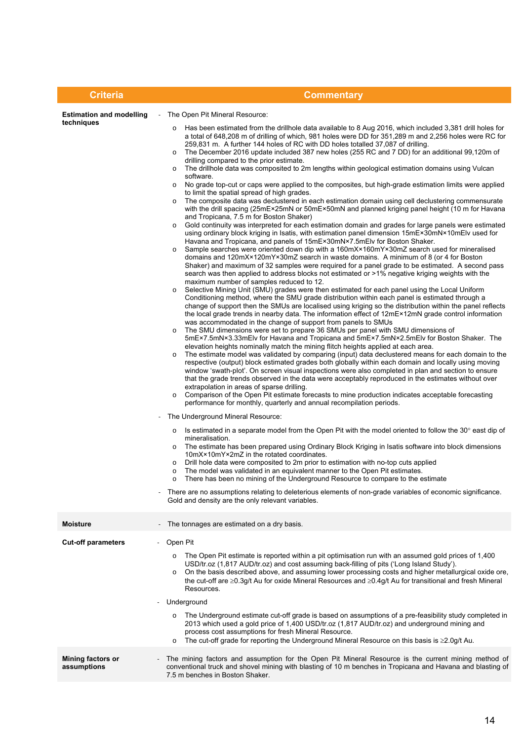| <b>Criteria</b>                                                 | <b>Commentary</b>                                                                                                                                                                                                                                                                                                                                                                                                                                                                                                                                                                                                                                                                                                                                                                                                                                                                                                                                                                                                                                                                                                                                                                                                                                                                                                                                                                                                                                                                                                                                                                                                                                                                                                                                                                                                                                                                                                                                                                                                                                                                                                                                                                                                                                                                                                                                                                                                                                                                                                                                                                                                                                                                                                                                                                                                                                                                                                                                                                                                                                                                                                                                                                                                                                                                                                                                                                                                                                                                                                                                                                                                                                                                                                                                                                                                                                                                                                                                                                                                                                                         |
|-----------------------------------------------------------------|---------------------------------------------------------------------------------------------------------------------------------------------------------------------------------------------------------------------------------------------------------------------------------------------------------------------------------------------------------------------------------------------------------------------------------------------------------------------------------------------------------------------------------------------------------------------------------------------------------------------------------------------------------------------------------------------------------------------------------------------------------------------------------------------------------------------------------------------------------------------------------------------------------------------------------------------------------------------------------------------------------------------------------------------------------------------------------------------------------------------------------------------------------------------------------------------------------------------------------------------------------------------------------------------------------------------------------------------------------------------------------------------------------------------------------------------------------------------------------------------------------------------------------------------------------------------------------------------------------------------------------------------------------------------------------------------------------------------------------------------------------------------------------------------------------------------------------------------------------------------------------------------------------------------------------------------------------------------------------------------------------------------------------------------------------------------------------------------------------------------------------------------------------------------------------------------------------------------------------------------------------------------------------------------------------------------------------------------------------------------------------------------------------------------------------------------------------------------------------------------------------------------------------------------------------------------------------------------------------------------------------------------------------------------------------------------------------------------------------------------------------------------------------------------------------------------------------------------------------------------------------------------------------------------------------------------------------------------------------------------------------------------------------------------------------------------------------------------------------------------------------------------------------------------------------------------------------------------------------------------------------------------------------------------------------------------------------------------------------------------------------------------------------------------------------------------------------------------------------------------------------------------------------------------------------------------------------------------------------------------------------------------------------------------------------------------------------------------------------------------------------------------------------------------------------------------------------------------------------------------------------------------------------------------------------------------------------------------------------------------------------------------------------------------------------------------------|
| <b>Estimation and modelling</b><br>techniques<br>$\blacksquare$ | - The Open Pit Mineral Resource:<br>Has been estimated from the drillhole data available to 8 Aug 2016, which included 3,381 drill holes for<br>$\circ$<br>a total of 648,208 m of drilling of which, 981 holes were DD for 351,289 m and 2,256 holes were RC for<br>259,831 m. A further 144 holes of RC with DD holes totalled 37,087 of drilling.<br>The December 2016 update included 387 new holes (255 RC and 7 DD) for an additional 99,120m of<br>drilling compared to the prior estimate.<br>The drillhole data was composited to 2m lengths within geological estimation domains using Vulcan<br>$\circ$<br>software.<br>No grade top-cut or caps were applied to the composites, but high-grade estimation limits were applied<br>$\circ$<br>to limit the spatial spread of high grades.<br>The composite data was declustered in each estimation domain using cell declustering commensurate<br>$\circ$<br>with the drill spacing (25mE×25mN or 50mE×50mN and planned kriging panel height (10 m for Havana<br>and Tropicana, 7.5 m for Boston Shaker)<br>Gold continuity was interpreted for each estimation domain and grades for large panels were estimated<br>$\circ$<br>using ordinary block kriging in Isatis, with estimation panel dimension 15mE×30mN×10mElv used for<br>Havana and Tropicana, and panels of 15mE×30mN×7.5mElv for Boston Shaker.<br>Sample searches were oriented down dip with a 160mX×160mY×30mZ search used for mineralised<br>$\circ$<br>domains and 120mX×120mY×30mZ search in waste domains. A minimum of 8 (or 4 for Boston<br>Shaker) and maximum of 32 samples were required for a panel grade to be estimated. A second pass<br>search was then applied to address blocks not estimated or >1% negative kriging weights with the<br>maximum number of samples reduced to 12.<br>Selective Mining Unit (SMU) grades were then estimated for each panel using the Local Uniform<br>$\circ$<br>Conditioning method, where the SMU grade distribution within each panel is estimated through a<br>change of support then the SMUs are localised using kriging so the distribution within the panel reflects<br>the local grade trends in nearby data. The information effect of 12mE × 12mN grade control information<br>was accommodated in the change of support from panels to SMUs<br>The SMU dimensions were set to prepare 36 SMUs per panel with SMU dimensions of<br>$\circ$<br>5mE×7.5mN×3.33mElv for Havana and Tropicana and 5mE×7.5mN×2.5mElv for Boston Shaker. The<br>elevation heights nominally match the mining flitch heights applied at each area.<br>The estimate model was validated by comparing (input) data declustered means for each domain to the<br>respective (output) block estimated grades both globally within each domain and locally using moving<br>window 'swath-plot'. On screen visual inspections were also completed in plan and section to ensure<br>that the grade trends observed in the data were acceptably reproduced in the estimates without over<br>extrapolation in areas of sparse drilling.<br>Comparison of the Open Pit estimate forecasts to mine production indicates acceptable forecasting<br>performance for monthly, quarterly and annual recompilation periods.<br>The Underground Mineral Resource:<br>Is estimated in a separate model from the Open Pit with the model oriented to follow the 30° east dip of<br>$\circ$<br>mineralisation.<br>The estimate has been prepared using Ordinary Block Kriging in Isatis software into block dimensions<br>$\circ$<br>10mX×10mY×2mZ in the rotated coordinates.<br>Drill hole data were composited to 2m prior to estimation with no-top cuts applied<br>$\circ$<br>The model was validated in an equivalent manner to the Open Pit estimates.<br>$\circ$<br>There has been no mining of the Underground Resource to compare to the estimate<br>There are no assumptions relating to deleterious elements of non-grade variables of economic significance.<br>Gold and density are the only relevant variables. |
| <b>Moisture</b>                                                 | The tonnages are estimated on a dry basis.                                                                                                                                                                                                                                                                                                                                                                                                                                                                                                                                                                                                                                                                                                                                                                                                                                                                                                                                                                                                                                                                                                                                                                                                                                                                                                                                                                                                                                                                                                                                                                                                                                                                                                                                                                                                                                                                                                                                                                                                                                                                                                                                                                                                                                                                                                                                                                                                                                                                                                                                                                                                                                                                                                                                                                                                                                                                                                                                                                                                                                                                                                                                                                                                                                                                                                                                                                                                                                                                                                                                                                                                                                                                                                                                                                                                                                                                                                                                                                                                                                |
| <b>Cut-off parameters</b><br>$\blacksquare$                     | Open Pit<br>The Open Pit estimate is reported within a pit optimisation run with an assumed gold prices of 1,400<br>$\circ$<br>USD/tr.oz (1,817 AUD/tr.oz) and cost assuming back-filling of pits ('Long Island Study').<br>On the basis described above, and assuming lower processing costs and higher metallurgical oxide ore,<br>$\circ$<br>the cut-off are $\geq$ 0.3g/t Au for oxide Mineral Resources and $\geq$ 0.4g/t Au for transitional and fresh Mineral<br>Resources.<br>Underground<br>The Underground estimate cut-off grade is based on assumptions of a pre-feasibility study completed in<br>2013 which used a gold price of 1,400 USD/tr.oz (1,817 AUD/tr.oz) and underground mining and<br>process cost assumptions for fresh Mineral Resource.<br>The cut-off grade for reporting the Underground Mineral Resource on this basis is $\geq 2.0$ g/t Au.                                                                                                                                                                                                                                                                                                                                                                                                                                                                                                                                                                                                                                                                                                                                                                                                                                                                                                                                                                                                                                                                                                                                                                                                                                                                                                                                                                                                                                                                                                                                                                                                                                                                                                                                                                                                                                                                                                                                                                                                                                                                                                                                                                                                                                                                                                                                                                                                                                                                                                                                                                                                                                                                                                                                                                                                                                                                                                                                                                                                                                                                                                                                                                                               |
| Mining factors or<br>assumptions                                | The mining factors and assumption for the Open Pit Mineral Resource is the current mining method of<br>conventional truck and shovel mining with blasting of 10 m benches in Tropicana and Havana and blasting of<br>7.5 m benches in Boston Shaker.                                                                                                                                                                                                                                                                                                                                                                                                                                                                                                                                                                                                                                                                                                                                                                                                                                                                                                                                                                                                                                                                                                                                                                                                                                                                                                                                                                                                                                                                                                                                                                                                                                                                                                                                                                                                                                                                                                                                                                                                                                                                                                                                                                                                                                                                                                                                                                                                                                                                                                                                                                                                                                                                                                                                                                                                                                                                                                                                                                                                                                                                                                                                                                                                                                                                                                                                                                                                                                                                                                                                                                                                                                                                                                                                                                                                                      |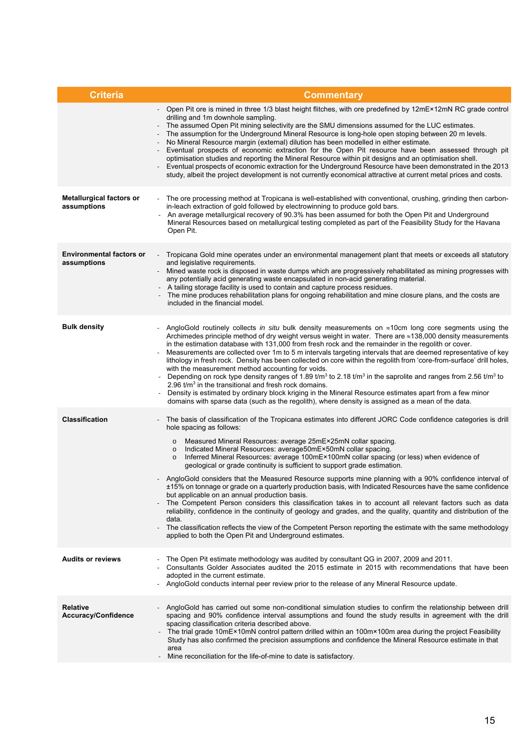| <b>Criteria</b>                                | <b>Commentary</b>                                                                                                                                                                                                                                                                                                                                                                                                                                                                                                                                                                                                                                                                                                                                                                                                                                                                                                                                                                                                                                                                                                                                                                         |
|------------------------------------------------|-------------------------------------------------------------------------------------------------------------------------------------------------------------------------------------------------------------------------------------------------------------------------------------------------------------------------------------------------------------------------------------------------------------------------------------------------------------------------------------------------------------------------------------------------------------------------------------------------------------------------------------------------------------------------------------------------------------------------------------------------------------------------------------------------------------------------------------------------------------------------------------------------------------------------------------------------------------------------------------------------------------------------------------------------------------------------------------------------------------------------------------------------------------------------------------------|
|                                                | Open Pit ore is mined in three 1/3 blast height flitches, with ore predefined by 12mE×12mN RC grade control<br>drilling and 1m downhole sampling.<br>The assumed Open Pit mining selectivity are the SMU dimensions assumed for the LUC estimates.<br>The assumption for the Underground Mineral Resource is long-hole open stoping between 20 m levels.<br>No Mineral Resource margin (external) dilution has been modelled in either estimate.<br>Eventual prospects of economic extraction for the Open Pit resource have been assessed through pit<br>optimisation studies and reporting the Mineral Resource within pit designs and an optimisation shell.<br>Eventual prospects of economic extraction for the Underground Resource have been demonstrated in the 2013<br>study, albeit the project development is not currently economical attractive at current metal prices and costs.                                                                                                                                                                                                                                                                                           |
| <b>Metallurgical factors or</b><br>assumptions | The ore processing method at Tropicana is well-established with conventional, crushing, grinding then carbon-<br>in-leach extraction of gold followed by electrowinning to produce gold bars.<br>An average metallurgical recovery of 90.3% has been assumed for both the Open Pit and Underground<br>Mineral Resources based on metallurgical testing completed as part of the Feasibility Study for the Havana<br>Open Pit.                                                                                                                                                                                                                                                                                                                                                                                                                                                                                                                                                                                                                                                                                                                                                             |
| <b>Environmental factors or</b><br>assumptions | Tropicana Gold mine operates under an environmental management plant that meets or exceeds all statutory<br>and legislative requirements.<br>Mined waste rock is disposed in waste dumps which are progressively rehabilitated as mining progresses with<br>$\blacksquare$<br>any potentially acid generating waste encapsulated in non-acid generating material.<br>A tailing storage facility is used to contain and capture process residues.<br>The mine produces rehabilitation plans for ongoing rehabilitation and mine closure plans, and the costs are<br>included in the financial model.                                                                                                                                                                                                                                                                                                                                                                                                                                                                                                                                                                                       |
| <b>Bulk density</b>                            | AngloGold routinely collects in situ bulk density measurements on $\approx$ 10cm long core segments using the<br>Archimedes principle method of dry weight versus weight in water. There are ≈138,000 density measurements<br>in the estimation database with 131,000 from fresh rock and the remainder in the regolith or cover.<br>Measurements are collected over 1m to 5 m intervals targeting intervals that are deemed representative of key<br>lithology in fresh rock. Density has been collected on core within the regolith from 'core-from-surface' drill holes,<br>with the measurement method accounting for voids.<br>Depending on rock type density ranges of 1.89 $tm^3$ to 2.18 $tm^3$ in the saprolite and ranges from 2.56 $tm^3$ to<br>2.96 $t/m3$ in the transitional and fresh rock domains.<br>Density is estimated by ordinary block kriging in the Mineral Resource estimates apart from a few minor<br>domains with sparse data (such as the regolith), where density is assigned as a mean of the data.                                                                                                                                                        |
| <b>Classification</b>                          | The basis of classification of the Tropicana estimates into different JORC Code confidence categories is drill<br>hole spacing as follows:<br>Measured Mineral Resources: average 25mE×25mN collar spacing.<br>$\circ$<br>Indicated Mineral Resources: average50mE×50mN collar spacing.<br>$\circ$<br>Inferred Mineral Resources: average 100mE×100mN collar spacing (or less) when evidence of<br>$\circ$<br>geological or grade continuity is sufficient to support grade estimation.<br>AngloGold considers that the Measured Resource supports mine planning with a 90% confidence interval of<br>±15% on tonnage or grade on a quarterly production basis, with Indicated Resources have the same confidence<br>but applicable on an annual production basis.<br>The Competent Person considers this classification takes in to account all relevant factors such as data<br>reliability, confidence in the continuity of geology and grades, and the quality, quantity and distribution of the<br>data.<br>The classification reflects the view of the Competent Person reporting the estimate with the same methodology<br>applied to both the Open Pit and Underground estimates. |
| <b>Audits or reviews</b>                       | The Open Pit estimate methodology was audited by consultant QG in 2007, 2009 and 2011.<br>$\overline{\phantom{a}}$<br>Consultants Golder Associates audited the 2015 estimate in 2015 with recommendations that have been<br>adopted in the current estimate.<br>AngloGold conducts internal peer review prior to the release of any Mineral Resource update.                                                                                                                                                                                                                                                                                                                                                                                                                                                                                                                                                                                                                                                                                                                                                                                                                             |
| <b>Relative</b><br>Accuracy/Confidence         | AngloGold has carried out some non-conditional simulation studies to confirm the relationship between drill<br>spacing and 90% confidence interval assumptions and found the study results in agreement with the drill<br>spacing classification criteria described above.<br>The trial grade 10mE×10mN control pattern drilled within an 100m×100m area during the project Feasibility<br>Study has also confirmed the precision assumptions and confidence the Mineral Resource estimate in that<br>area<br>Mine reconciliation for the life-of-mine to date is satisfactory.                                                                                                                                                                                                                                                                                                                                                                                                                                                                                                                                                                                                           |
|                                                |                                                                                                                                                                                                                                                                                                                                                                                                                                                                                                                                                                                                                                                                                                                                                                                                                                                                                                                                                                                                                                                                                                                                                                                           |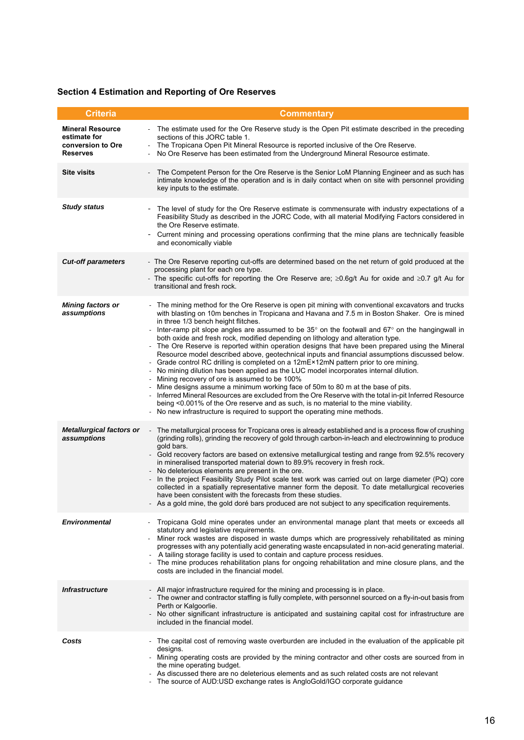## **Section 4 Estimation and Reporting of Ore Reserves**

| <b>Criteria</b>                                                                 | <b>Commentary</b>                                                                                                                                                                                                                                                                                                                                                                                                                                                                                                                                                                                                                                                                                                                                                                                                                                                                                                                                                                                                                                                                                                                                                                                                                     |
|---------------------------------------------------------------------------------|---------------------------------------------------------------------------------------------------------------------------------------------------------------------------------------------------------------------------------------------------------------------------------------------------------------------------------------------------------------------------------------------------------------------------------------------------------------------------------------------------------------------------------------------------------------------------------------------------------------------------------------------------------------------------------------------------------------------------------------------------------------------------------------------------------------------------------------------------------------------------------------------------------------------------------------------------------------------------------------------------------------------------------------------------------------------------------------------------------------------------------------------------------------------------------------------------------------------------------------|
| <b>Mineral Resource</b><br>estimate for<br>conversion to Ore<br><b>Reserves</b> | The estimate used for the Ore Reserve study is the Open Pit estimate described in the preceding<br>sections of this JORC table 1.<br>The Tropicana Open Pit Mineral Resource is reported inclusive of the Ore Reserve.<br>No Ore Reserve has been estimated from the Underground Mineral Resource estimate.                                                                                                                                                                                                                                                                                                                                                                                                                                                                                                                                                                                                                                                                                                                                                                                                                                                                                                                           |
| <b>Site visits</b>                                                              | The Competent Person for the Ore Reserve is the Senior LoM Planning Engineer and as such has<br>intimate knowledge of the operation and is in daily contact when on site with personnel providing<br>key inputs to the estimate.                                                                                                                                                                                                                                                                                                                                                                                                                                                                                                                                                                                                                                                                                                                                                                                                                                                                                                                                                                                                      |
| <b>Study status</b>                                                             | The level of study for the Ore Reserve estimate is commensurate with industry expectations of a<br>Feasibility Study as described in the JORC Code, with all material Modifying Factors considered in<br>the Ore Reserve estimate.<br>Current mining and processing operations confirming that the mine plans are technically feasible<br>and economically viable                                                                                                                                                                                                                                                                                                                                                                                                                                                                                                                                                                                                                                                                                                                                                                                                                                                                     |
| <b>Cut-off parameters</b>                                                       | - The Ore Reserve reporting cut-offs are determined based on the net return of gold produced at the<br>processing plant for each ore type.<br>The specific cut-offs for reporting the Ore Reserve are; $\geq 0.6$ g/t Au for oxide and $\geq 0.7$ g/t Au for<br>transitional and fresh rock.                                                                                                                                                                                                                                                                                                                                                                                                                                                                                                                                                                                                                                                                                                                                                                                                                                                                                                                                          |
| <b>Mining factors or</b><br>assumptions                                         | The mining method for the Ore Reserve is open pit mining with conventional excavators and trucks<br>with blasting on 10m benches in Tropicana and Havana and 7.5 m in Boston Shaker. Ore is mined<br>in three 1/3 bench height flitches.<br>Inter-ramp pit slope angles are assumed to be 35° on the footwall and 67° on the hangingwall in<br>both oxide and fresh rock, modified depending on lithology and alteration type.<br>The Ore Reserve is reported within operation designs that have been prepared using the Mineral<br>Resource model described above, geotechnical inputs and financial assumptions discussed below.<br>Grade control RC drilling is completed on a 12mE×12mN pattern prior to ore mining.<br>- No mining dilution has been applied as the LUC model incorporates internal dilution.<br>- Mining recovery of ore is assumed to be 100%<br>- Mine designs assume a minimum working face of 50m to 80 m at the base of pits.<br>Inferred Mineral Resources are excluded from the Ore Reserve with the total in-pit Inferred Resource<br>being <0.001% of the Ore reserve and as such, is no material to the mine viability.<br>- No new infrastructure is required to support the operating mine methods. |
| <b>Metallurgical factors or</b><br>assumptions                                  | The metallurgical process for Tropicana ores is already established and is a process flow of crushing<br>(grinding rolls), grinding the recovery of gold through carbon-in-leach and electrowinning to produce<br>gold bars.<br>- Gold recovery factors are based on extensive metallurgical testing and range from 92.5% recovery<br>in mineralised transported material down to 89.9% recovery in fresh rock.<br>- No deleterious elements are present in the ore.<br>In the project Feasibility Study Pilot scale test work was carried out on large diameter (PQ) core<br>collected in a spatially representative manner form the deposit. To date metallurgical recoveries<br>have been consistent with the forecasts from these studies.<br>- As a gold mine, the gold doré bars produced are not subject to any specification requirements.                                                                                                                                                                                                                                                                                                                                                                                    |
| <b>Environmental</b>                                                            | Tropicana Gold mine operates under an environmental manage plant that meets or exceeds all<br>statutory and legislative requirements.<br>Miner rock wastes are disposed in waste dumps which are progressively rehabilitated as mining<br>progresses with any potentially acid generating waste encapsulated in non-acid generating material.<br>- A tailing storage facility is used to contain and capture process residues.<br>The mine produces rehabilitation plans for ongoing rehabilitation and mine closure plans, and the<br>costs are included in the financial model.                                                                                                                                                                                                                                                                                                                                                                                                                                                                                                                                                                                                                                                     |
| <b>Infrastructure</b>                                                           | - All major infrastructure required for the mining and processing is in place.<br>- The owner and contractor staffing is fully complete, with personnel sourced on a fly-in-out basis from<br>Perth or Kalgoorlie.<br>- No other significant infrastructure is anticipated and sustaining capital cost for infrastructure are<br>included in the financial model.                                                                                                                                                                                                                                                                                                                                                                                                                                                                                                                                                                                                                                                                                                                                                                                                                                                                     |
| Costs                                                                           | The capital cost of removing waste overburden are included in the evaluation of the applicable pit<br>designs.<br>- Mining operating costs are provided by the mining contractor and other costs are sourced from in<br>the mine operating budget.<br>As discussed there are no deleterious elements and as such related costs are not relevant<br>The source of AUD:USD exchange rates is AngloGold/IGO corporate guidance                                                                                                                                                                                                                                                                                                                                                                                                                                                                                                                                                                                                                                                                                                                                                                                                           |